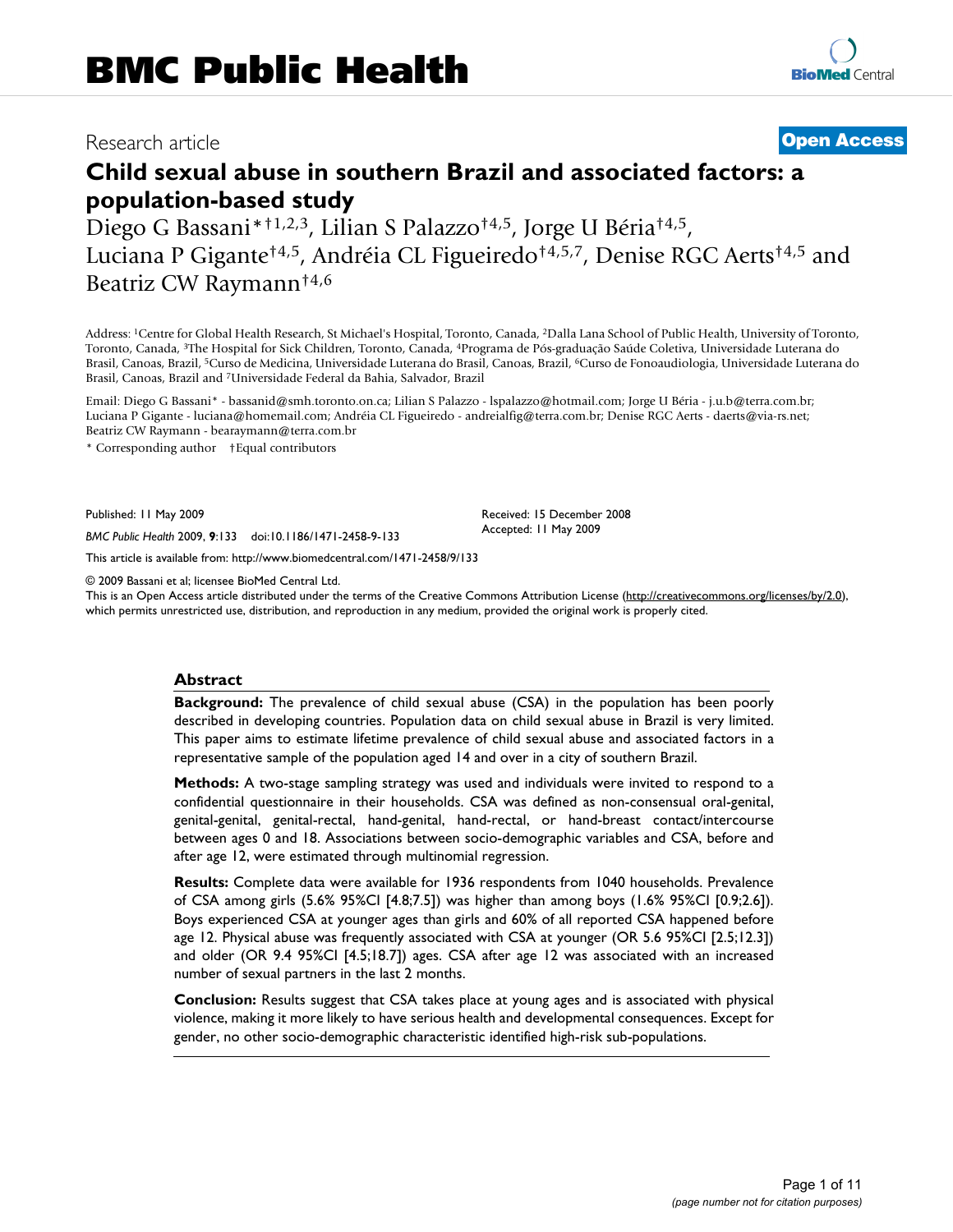## Research article **[Open Access](http://www.biomedcentral.com/info/about/charter/)**

# **Child sexual abuse in southern Brazil and associated factors: a population-based study**

Diego G Bassani\*†1,2,3, Lilian S Palazzo†4,5, Jorge U Béria†4,5, Luciana P Gigante†4,5, Andréia CL Figueiredo†4,5,7, Denise RGC Aerts†4,5 and Beatriz CW Raymann†4,6

Address: 1Centre for Global Health Research, St Michael's Hospital, Toronto, Canada, 2Dalla Lana School of Public Health, University of Toronto, Toronto, Canada, 3The Hospital for Sick Children, Toronto, Canada, 4Programa de Pós-graduação Saúde Coletiva, Universidade Luterana do Brasil, Canoas, Brazil, 5Curso de Medicina, Universidade Luterana do Brasil, Canoas, Brazil, 6Curso de Fonoaudiologia, Universidade Luterana do Brasil, Canoas, Brazil and 7Universidade Federal da Bahia, Salvador, Brazil

Email: Diego G Bassani\* - bassanid@smh.toronto.on.ca; Lilian S Palazzo - lspalazzo@hotmail.com; Jorge U Béria - j.u.b@terra.com.br; Luciana P Gigante - luciana@homemail.com; Andréia CL Figueiredo - andreialfig@terra.com.br; Denise RGC Aerts - daerts@via-rs.net; Beatriz CW Raymann - bearaymann@terra.com.br

\* Corresponding author †Equal contributors

Published: 11 May 2009

*BMC Public Health* 2009, **9**:133 doi:10.1186/1471-2458-9-133

[This article is available from: http://www.biomedcentral.com/1471-2458/9/133](http://www.biomedcentral.com/1471-2458/9/133)

© 2009 Bassani et al; licensee BioMed Central Ltd.

This is an Open Access article distributed under the terms of the Creative Commons Attribution License [\(http://creativecommons.org/licenses/by/2.0\)](http://creativecommons.org/licenses/by/2.0), which permits unrestricted use, distribution, and reproduction in any medium, provided the original work is properly cited.

Received: 15 December 2008 Accepted: 11 May 2009

#### **Abstract**

**Background:** The prevalence of child sexual abuse (CSA) in the population has been poorly described in developing countries. Population data on child sexual abuse in Brazil is very limited. This paper aims to estimate lifetime prevalence of child sexual abuse and associated factors in a representative sample of the population aged 14 and over in a city of southern Brazil.

**Methods:** A two-stage sampling strategy was used and individuals were invited to respond to a confidential questionnaire in their households. CSA was defined as non-consensual oral-genital, genital-genital, genital-rectal, hand-genital, hand-rectal, or hand-breast contact/intercourse between ages 0 and 18. Associations between socio-demographic variables and CSA, before and after age 12, were estimated through multinomial regression.

**Results:** Complete data were available for 1936 respondents from 1040 households. Prevalence of CSA among girls (5.6% 95%CI [4.8;7.5]) was higher than among boys (1.6% 95%CI [0.9;2.6]). Boys experienced CSA at younger ages than girls and 60% of all reported CSA happened before age 12. Physical abuse was frequently associated with CSA at younger (OR 5.6 95%CI [2.5;12.3]) and older (OR 9.4 95%CI [4.5;18.7]) ages. CSA after age 12 was associated with an increased number of sexual partners in the last 2 months.

**Conclusion:** Results suggest that CSA takes place at young ages and is associated with physical violence, making it more likely to have serious health and developmental consequences. Except for gender, no other socio-demographic characteristic identified high-risk sub-populations.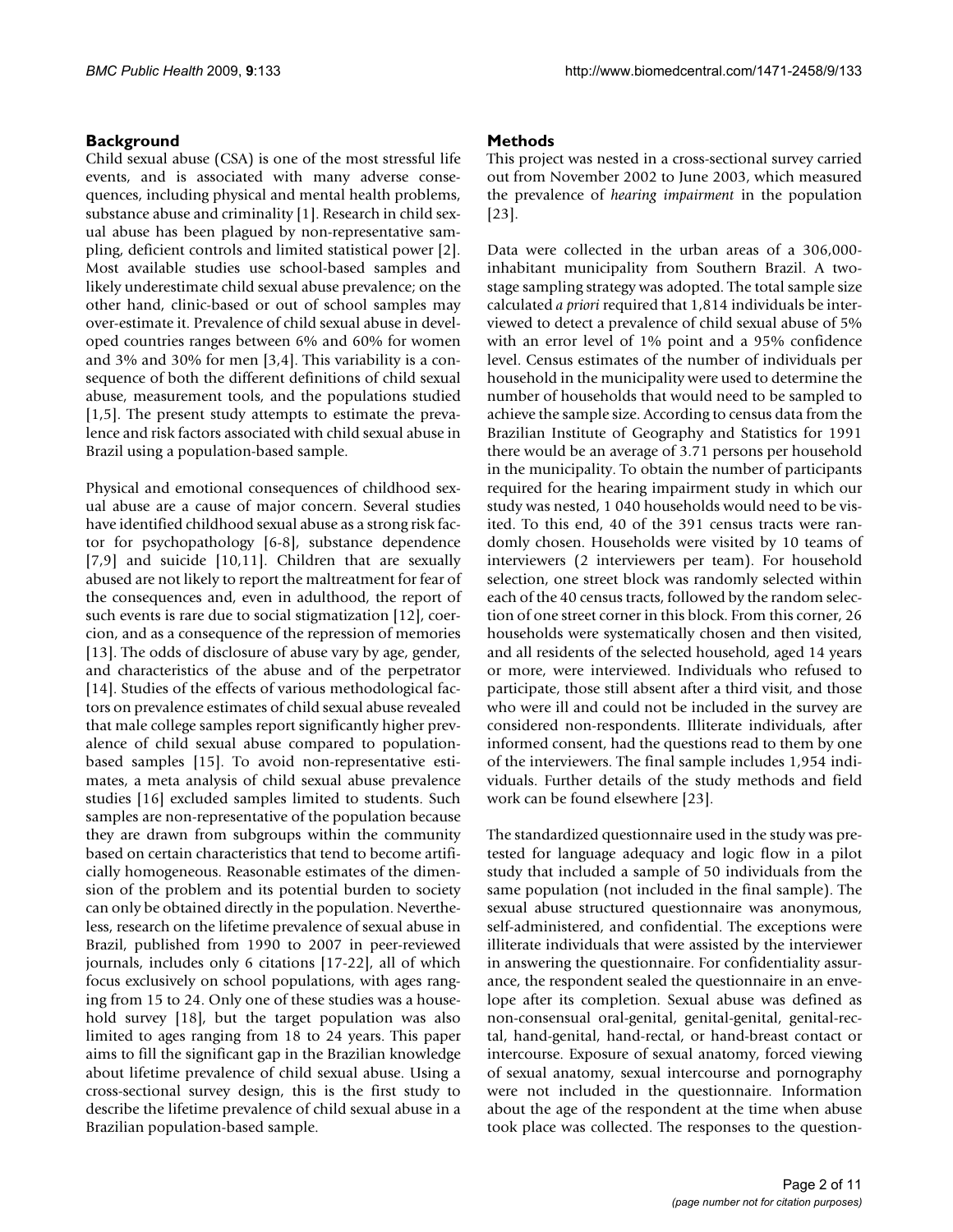#### **Background**

Child sexual abuse (CSA) is one of the most stressful life events, and is associated with many adverse consequences, including physical and mental health problems, substance abuse and criminality [1]. Research in child sexual abuse has been plagued by non-representative sampling, deficient controls and limited statistical power [2]. Most available studies use school-based samples and likely underestimate child sexual abuse prevalence; on the other hand, clinic-based or out of school samples may over-estimate it. Prevalence of child sexual abuse in developed countries ranges between 6% and 60% for women and 3% and 30% for men [3,4]. This variability is a consequence of both the different definitions of child sexual abuse, measurement tools, and the populations studied [1,5]. The present study attempts to estimate the prevalence and risk factors associated with child sexual abuse in Brazil using a population-based sample.

Physical and emotional consequences of childhood sexual abuse are a cause of major concern. Several studies have identified childhood sexual abuse as a strong risk factor for psychopathology [6-8], substance dependence [7,9] and suicide [10,11]. Children that are sexually abused are not likely to report the maltreatment for fear of the consequences and, even in adulthood, the report of such events is rare due to social stigmatization [12], coercion, and as a consequence of the repression of memories [13]. The odds of disclosure of abuse vary by age, gender, and characteristics of the abuse and of the perpetrator [14]. Studies of the effects of various methodological factors on prevalence estimates of child sexual abuse revealed that male college samples report significantly higher prevalence of child sexual abuse compared to populationbased samples [15]. To avoid non-representative estimates, a meta analysis of child sexual abuse prevalence studies [16] excluded samples limited to students. Such samples are non-representative of the population because they are drawn from subgroups within the community based on certain characteristics that tend to become artificially homogeneous. Reasonable estimates of the dimension of the problem and its potential burden to society can only be obtained directly in the population. Nevertheless, research on the lifetime prevalence of sexual abuse in Brazil, published from 1990 to 2007 in peer-reviewed journals, includes only 6 citations [17-22], all of which focus exclusively on school populations, with ages ranging from 15 to 24. Only one of these studies was a household survey [18], but the target population was also limited to ages ranging from 18 to 24 years. This paper aims to fill the significant gap in the Brazilian knowledge about lifetime prevalence of child sexual abuse. Using a cross-sectional survey design, this is the first study to describe the lifetime prevalence of child sexual abuse in a Brazilian population-based sample.

#### **Methods**

This project was nested in a cross-sectional survey carried out from November 2002 to June 2003, which measured the prevalence of *hearing impairment* in the population [23].

Data were collected in the urban areas of a 306,000 inhabitant municipality from Southern Brazil. A twostage sampling strategy was adopted. The total sample size calculated *a priori* required that 1,814 individuals be interviewed to detect a prevalence of child sexual abuse of 5% with an error level of 1% point and a 95% confidence level. Census estimates of the number of individuals per household in the municipality were used to determine the number of households that would need to be sampled to achieve the sample size. According to census data from the Brazilian Institute of Geography and Statistics for 1991 there would be an average of 3.71 persons per household in the municipality. To obtain the number of participants required for the hearing impairment study in which our study was nested, 1 040 households would need to be visited. To this end, 40 of the 391 census tracts were randomly chosen. Households were visited by 10 teams of interviewers (2 interviewers per team). For household selection, one street block was randomly selected within each of the 40 census tracts, followed by the random selection of one street corner in this block. From this corner, 26 households were systematically chosen and then visited, and all residents of the selected household, aged 14 years or more, were interviewed. Individuals who refused to participate, those still absent after a third visit, and those who were ill and could not be included in the survey are considered non-respondents. Illiterate individuals, after informed consent, had the questions read to them by one of the interviewers. The final sample includes 1,954 individuals. Further details of the study methods and field work can be found elsewhere [23].

The standardized questionnaire used in the study was pretested for language adequacy and logic flow in a pilot study that included a sample of 50 individuals from the same population (not included in the final sample). The sexual abuse structured questionnaire was anonymous, self-administered, and confidential. The exceptions were illiterate individuals that were assisted by the interviewer in answering the questionnaire. For confidentiality assurance, the respondent sealed the questionnaire in an envelope after its completion. Sexual abuse was defined as non-consensual oral-genital, genital-genital, genital-rectal, hand-genital, hand-rectal, or hand-breast contact or intercourse. Exposure of sexual anatomy, forced viewing of sexual anatomy, sexual intercourse and pornography were not included in the questionnaire. Information about the age of the respondent at the time when abuse took place was collected. The responses to the question-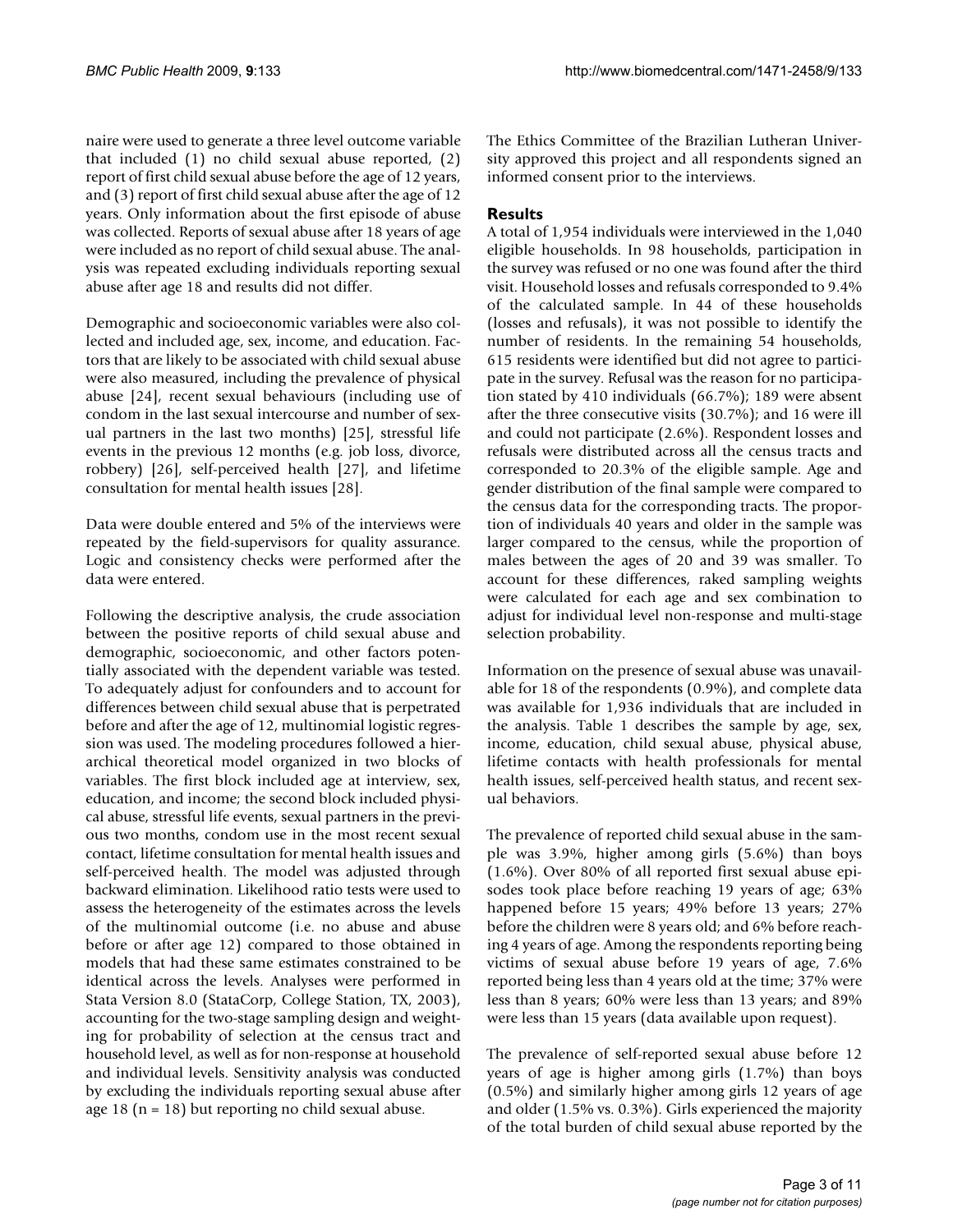naire were used to generate a three level outcome variable that included (1) no child sexual abuse reported, (2) report of first child sexual abuse before the age of 12 years, and (3) report of first child sexual abuse after the age of 12 years. Only information about the first episode of abuse was collected. Reports of sexual abuse after 18 years of age were included as no report of child sexual abuse. The analysis was repeated excluding individuals reporting sexual abuse after age 18 and results did not differ.

Demographic and socioeconomic variables were also collected and included age, sex, income, and education. Factors that are likely to be associated with child sexual abuse were also measured, including the prevalence of physical abuse [24], recent sexual behaviours (including use of condom in the last sexual intercourse and number of sexual partners in the last two months) [25], stressful life events in the previous 12 months (e.g. job loss, divorce, robbery) [26], self-perceived health [27], and lifetime consultation for mental health issues [28].

Data were double entered and 5% of the interviews were repeated by the field-supervisors for quality assurance. Logic and consistency checks were performed after the data were entered.

Following the descriptive analysis, the crude association between the positive reports of child sexual abuse and demographic, socioeconomic, and other factors potentially associated with the dependent variable was tested. To adequately adjust for confounders and to account for differences between child sexual abuse that is perpetrated before and after the age of 12, multinomial logistic regression was used. The modeling procedures followed a hierarchical theoretical model organized in two blocks of variables. The first block included age at interview, sex, education, and income; the second block included physical abuse, stressful life events, sexual partners in the previous two months, condom use in the most recent sexual contact, lifetime consultation for mental health issues and self-perceived health. The model was adjusted through backward elimination. Likelihood ratio tests were used to assess the heterogeneity of the estimates across the levels of the multinomial outcome (i.e. no abuse and abuse before or after age 12) compared to those obtained in models that had these same estimates constrained to be identical across the levels. Analyses were performed in Stata Version 8.0 (StataCorp, College Station, TX, 2003), accounting for the two-stage sampling design and weighting for probability of selection at the census tract and household level, as well as for non-response at household and individual levels. Sensitivity analysis was conducted by excluding the individuals reporting sexual abuse after age 18 ( $n = 18$ ) but reporting no child sexual abuse.

The Ethics Committee of the Brazilian Lutheran University approved this project and all respondents signed an informed consent prior to the interviews.

### **Results**

A total of 1,954 individuals were interviewed in the 1,040 eligible households. In 98 households, participation in the survey was refused or no one was found after the third visit. Household losses and refusals corresponded to 9.4% of the calculated sample. In 44 of these households (losses and refusals), it was not possible to identify the number of residents. In the remaining 54 households, 615 residents were identified but did not agree to participate in the survey. Refusal was the reason for no participation stated by 410 individuals (66.7%); 189 were absent after the three consecutive visits (30.7%); and 16 were ill and could not participate (2.6%). Respondent losses and refusals were distributed across all the census tracts and corresponded to 20.3% of the eligible sample. Age and gender distribution of the final sample were compared to the census data for the corresponding tracts. The proportion of individuals 40 years and older in the sample was larger compared to the census, while the proportion of males between the ages of 20 and 39 was smaller. To account for these differences, raked sampling weights were calculated for each age and sex combination to adjust for individual level non-response and multi-stage selection probability.

Information on the presence of sexual abuse was unavailable for 18 of the respondents (0.9%), and complete data was available for 1,936 individuals that are included in the analysis. Table 1 describes the sample by age, sex, income, education, child sexual abuse, physical abuse, lifetime contacts with health professionals for mental health issues, self-perceived health status, and recent sexual behaviors.

The prevalence of reported child sexual abuse in the sample was 3.9%, higher among girls (5.6%) than boys (1.6%). Over 80% of all reported first sexual abuse episodes took place before reaching 19 years of age; 63% happened before 15 years; 49% before 13 years; 27% before the children were 8 years old; and 6% before reaching 4 years of age. Among the respondents reporting being victims of sexual abuse before 19 years of age, 7.6% reported being less than 4 years old at the time; 37% were less than 8 years; 60% were less than 13 years; and 89% were less than 15 years (data available upon request).

The prevalence of self-reported sexual abuse before 12 years of age is higher among girls (1.7%) than boys (0.5%) and similarly higher among girls 12 years of age and older (1.5% vs. 0.3%). Girls experienced the majority of the total burden of child sexual abuse reported by the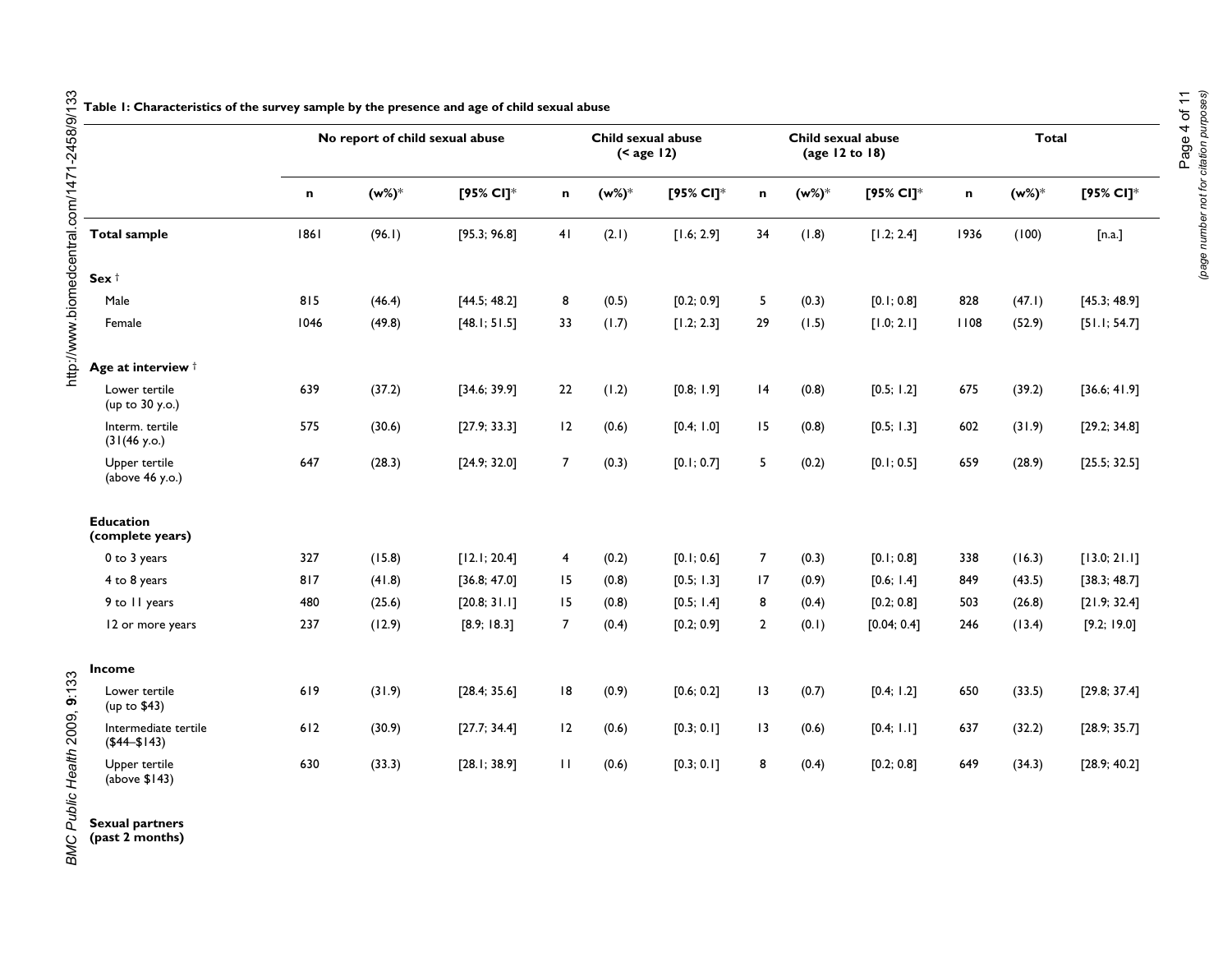|                                        | No report of child sexual abuse |        | Child sexual abuse<br>$(<$ age 12) |                |       | Child sexual abuse<br>(age 12 to 18) |                 |       | <b>Total</b> |      |        |              |
|----------------------------------------|---------------------------------|--------|------------------------------------|----------------|-------|--------------------------------------|-----------------|-------|--------------|------|--------|--------------|
|                                        | n                               | (w%)*  | [95% CI]*                          | n              | (w%)* | [95% CI]*                            | n               | (w%)* | [95% CI]*    | n    | (w%)*  | [95% CI]*    |
| <b>Total sample</b>                    | 1861                            | (96.1) | [95.3; 96.8]                       | 41             | (2.1) | [1.6; 2.9]                           | 34              | (1.8) | [1.2; 2.4]   | 1936 | (100)  | [n.a.]       |
| Sex $†$                                |                                 |        |                                    |                |       |                                      |                 |       |              |      |        |              |
| Male                                   | 815                             | (46.4) | [44.5; 48.2]                       | 8              | (0.5) | [0.2; 0.9]                           | 5               | (0.3) | [0.1; 0.8]   | 828  | (47.1) | [45.3; 48.9] |
| Female                                 | 1046                            | (49.8) | [48.1; 51.5]                       | 33             | (1.7) | [1.2; 2.3]                           | 29              | (1.5) | [1.0; 2.1]   | 1108 | (52.9) | [51.1; 54.7] |
| Age at interview $\dagger$             |                                 |        |                                    |                |       |                                      |                 |       |              |      |        |              |
| Lower tertile<br>(up to 30 y.o.)       | 639                             | (37.2) | [34.6; 39.9]                       | 22             | (1.2) | [0.8; 1.9]                           | 4               | (0.8) | [0.5; 1.2]   | 675  | (39.2) | [36.6; 41.9] |
| Interm. tertile<br>(31(46 y.o.)        | 575                             | (30.6) | [27.9; 33.3]                       | 12             | (0.6) | [0.4; 1.0]                           | 15              | (0.8) | [0.5; 1.3]   | 602  | (31.9) | [29.2; 34.8] |
| Upper tertile<br>(above 46 y.o.)       | 647                             | (28.3) | [24.9; 32.0]                       | $\overline{7}$ | (0.3) | [0.1; 0.7]                           | 5               | (0.2) | [0.1; 0.5]   | 659  | (28.9) | [25.5; 32.5] |
| <b>Education</b><br>(complete years)   |                                 |        |                                    |                |       |                                      |                 |       |              |      |        |              |
| 0 to 3 years                           | 327                             | (15.8) | [12.1; 20.4]                       | 4              | (0.2) | [0.1; 0.6]                           | $\overline{7}$  | (0.3) | [0.1; 0.8]   | 338  | (16.3) | [13.0; 21.1] |
| 4 to 8 years                           | 817                             | (41.8) | [36.8; 47.0]                       | 15             | (0.8) | [0.5; 1.3]                           | 17              | (0.9) | [0.6; 1.4]   | 849  | (43.5) | [38.3; 48.7] |
| 9 to 11 years                          | 480                             | (25.6) | [20.8; 31.1]                       | 15             | (0.8) | [0.5; 1.4]                           | 8               | (0.4) | [0.2; 0.8]   | 503  | (26.8) | [21.9; 32.4] |
| 12 or more years                       | 237                             | (12.9) | [8.9; 18.3]                        | $\overline{7}$ | (0.4) | [0.2; 0.9]                           | $\overline{2}$  | (0.1) | [0.04; 0.4]  | 246  | (13.4) | [9.2; 19.0]  |
| Income                                 |                                 |        |                                    |                |       |                                      |                 |       |              |      |        |              |
| Lower tertile<br>(up to \$43)          | 619                             | (31.9) | [28.4; 35.6]                       | 8              | (0.9) | [0.6; 0.2]                           | 13              | (0.7) | [0.4; 1.2]   | 650  | (33.5) | [29.8; 37.4] |
| Intermediate tertile<br>$($44 - $143)$ | 612                             | (30.9) | [27.7; 34.4]                       | 12             | (0.6) | [0.3; 0.1]                           | $\overline{13}$ | (0.6) | [0.4; 1.1]   | 637  | (32.2) | [28.9; 35.7] |
| Upper tertile<br>(above $$143$ )       | 630                             | (33.3) | [28.1; 38.9]                       | $\mathbf{H}$   | (0.6) | [0.3; 0.1]                           | 8               | (0.4) | [0.2; 0.8]   | 649  | (34.3) | [28.9; 40.2] |

**Sexual partners (past 2 months)**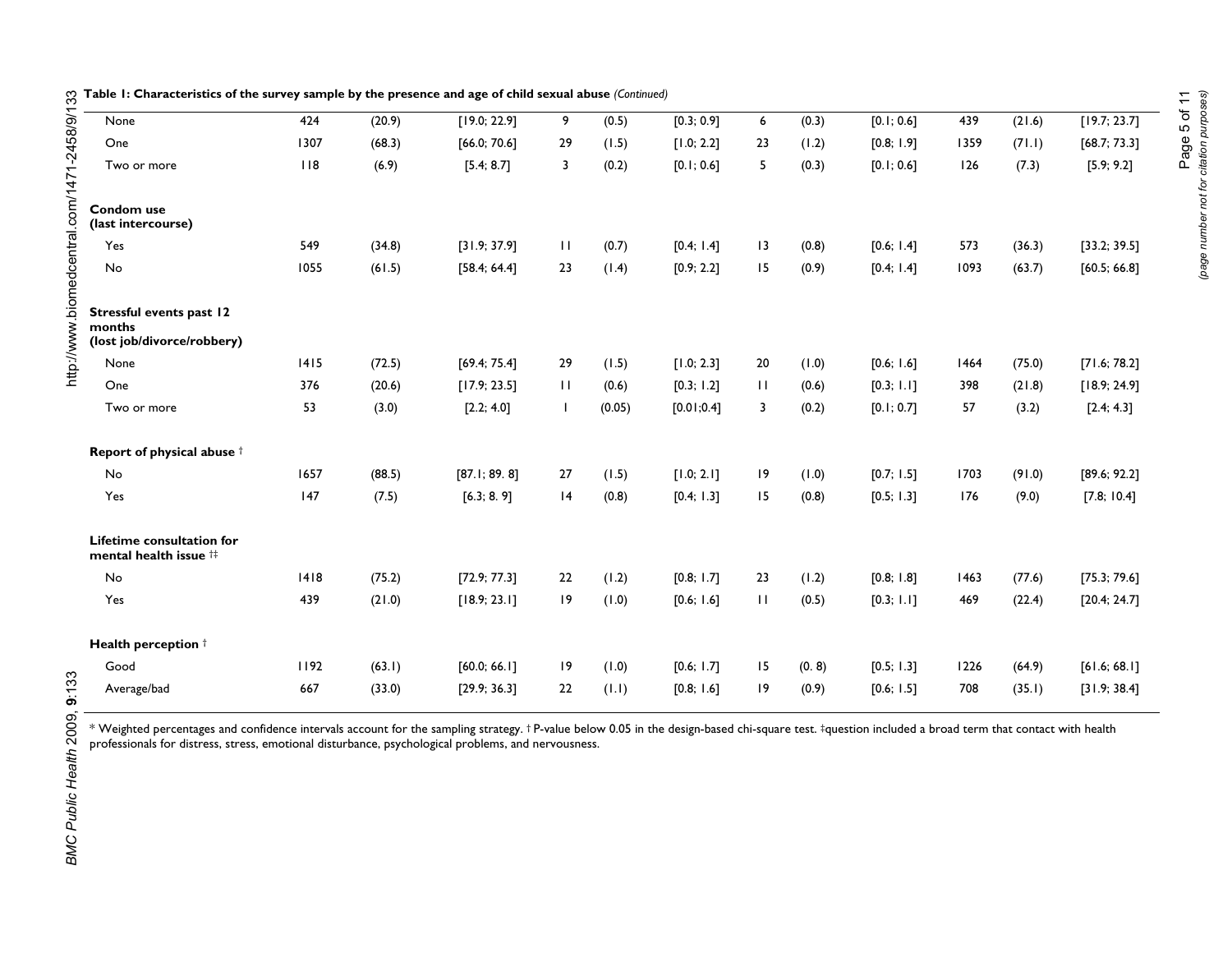| None                                                             | 424  | (20.9) | [19.0; 22.9] | 9            | (0.5)  | [0.3; 0.9] | 6            | (0.3) | [0.1; 0.6] | 439  | (21.6) | [19.7; 23.7] |
|------------------------------------------------------------------|------|--------|--------------|--------------|--------|------------|--------------|-------|------------|------|--------|--------------|
| One                                                              | 1307 | (68.3) | [66.0; 70.6] | 29           | (1.5)  | [1.0; 2.2] | 23           | (1.2) | [0.8; 1.9] | 1359 | (71.1) | [68.7; 73.3] |
| Two or more                                                      | 118  | (6.9)  | [5.4; 8.7]   | 3            | (0.2)  | [0.1; 0.6] | 5            | (0.3) | [0.1; 0.6] | 126  | (7.3)  | [5.9; 9.2]   |
| Condom use<br>(last intercourse)                                 |      |        |              |              |        |            |              |       |            |      |        |              |
| Yes                                                              | 549  | (34.8) | [31.9; 37.9] | $\mathbf{H}$ | (0.7)  | [0.4; 1.4] | 13           | (0.8) | [0.6; 1.4] | 573  | (36.3) | [33.2; 39.5] |
| No                                                               | 1055 | (61.5) | [58.4; 64.4] | 23           | (1.4)  | [0.9; 2.2] | 15           | (0.9) | [0.4; 1.4] | 1093 | (63.7) | [60.5; 66.8] |
| Stressful events past 12<br>months<br>(lost job/divorce/robbery) |      |        |              |              |        |            |              |       |            |      |        |              |
| None                                                             | 1415 | (72.5) | [69.4; 75.4] | 29           | (1.5)  | [1.0; 2.3] | 20           | (0.1) | [0.6; 1.6] | 1464 | (75.0) | [71.6; 78.2] |
| One                                                              | 376  | (20.6) | [17.9; 23.5] | $\mathbf{H}$ | (0.6)  | [0.3; 1.2] | $\mathbf{H}$ | (0.6) | [0.3; 1.1] | 398  | (21.8) | [18.9; 24.9] |
| Two or more                                                      | 53   | (3.0)  | [2.2; 4.0]   | I.           | (0.05) | [0.01;0.4] | 3            | (0.2) | [0.1; 0.7] | 57   | (3.2)  | [2.4; 4.3]   |
| Report of physical abuse t                                       |      |        |              |              |        |            |              |       |            |      |        |              |
| No                                                               | 1657 | (88.5) | [87.1; 89.8] | 27           | (1.5)  | [1.0; 2.1] | 9            | (0.1) | [0.7; 1.5] | 1703 | (91.0) | [89.6; 92.2] |
| Yes                                                              | 147  | (7.5)  | [6.3; 8.9]   | 4            | (0.8)  | [0.4; 1.3] | 15           | (0.8) | [0.5; 1.3] | 176  | (9.0)  | [7.8; 10.4]  |
| Lifetime consultation for<br>mental health issue #               |      |        |              |              |        |            |              |       |            |      |        |              |
| No                                                               | 1418 | (75.2) | [72.9; 77.3] | 22           | (1.2)  | [0.8; 1.7] | 23           | (1.2) | [0.8; 1.8] | 1463 | (77.6) | [75.3; 79.6] |
| Yes                                                              | 439  | (21.0) | [18.9; 23.1] | 9            | (1.0)  | [0.6; 1.6] | $\mathbf{H}$ | (0.5) | [0.3; 1.1] | 469  | (22.4) | [20.4; 24.7] |
| Health perception <sup>†</sup>                                   |      |        |              |              |        |            |              |       |            |      |        |              |
| Good                                                             | 1192 | (63.1) | [60.0; 66.1] | 9            | (1.0)  | [0.6; 1.7] | 15           | (0.8) | [0.5; 1.3] | 1226 | (64.9) | [61.6; 68.1] |
| Average/bad                                                      | 667  | (33.0) | [29.9; 36.3] | 22           | (1.1)  | [0.8; 1.6] | 19           | (0.9) | [0.6; 1.5] | 708  | (35.1) | [31.9; 38.4] |

**Table 1: Characteristics of the survey sample by the presence and age of child sexual abuse** *(Continued)*

\* Weighted percentages and confidence intervals account for the sampling strategy. † P-value below 0.05 in the design-based chi-square test. ‡question included a broad term that contact with health professionals for distress, stress, emotional disturbance, psychological problems, and nervousness.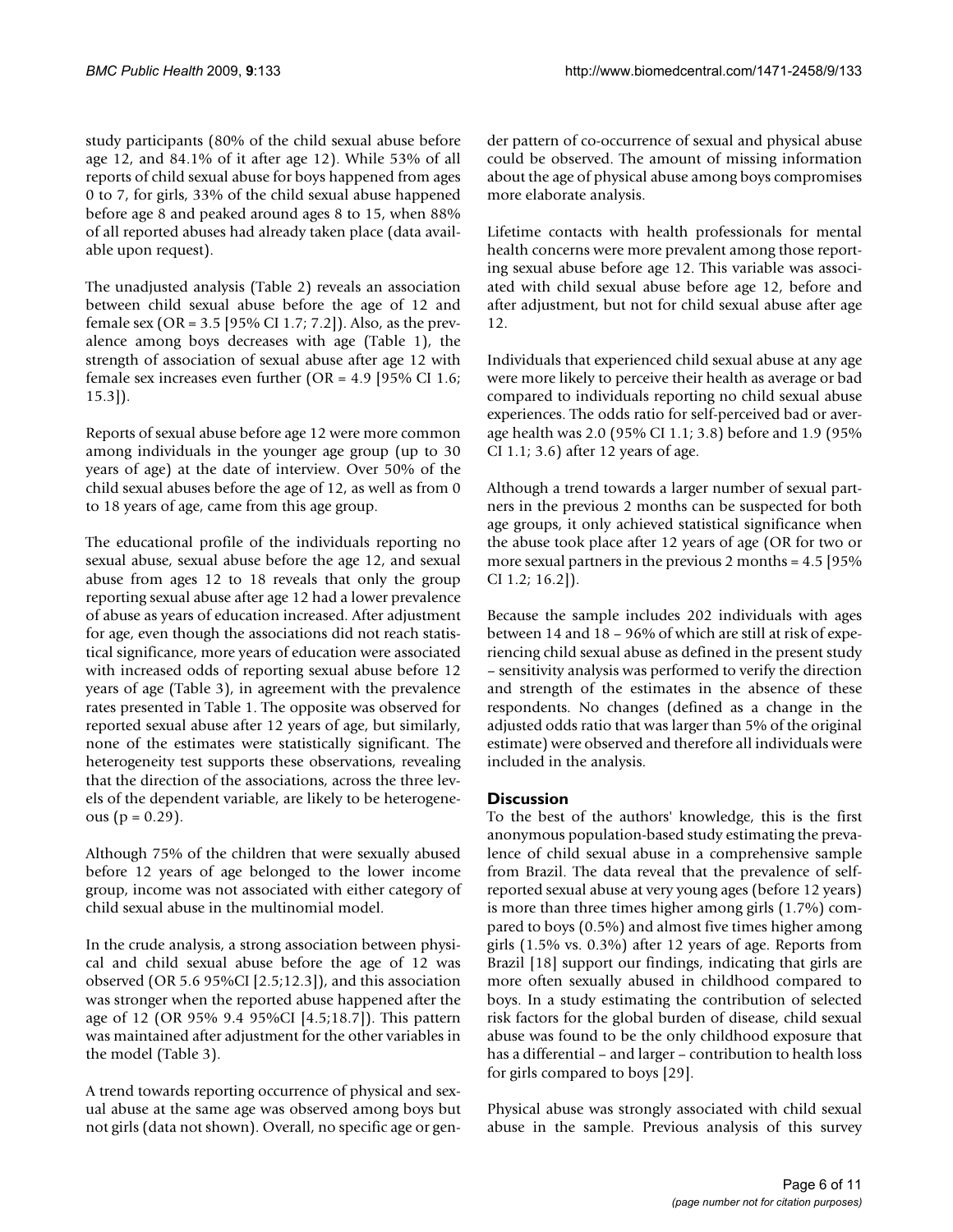study participants (80% of the child sexual abuse before age 12, and 84.1% of it after age 12). While 53% of all reports of child sexual abuse for boys happened from ages 0 to 7, for girls, 33% of the child sexual abuse happened before age 8 and peaked around ages 8 to 15, when 88% of all reported abuses had already taken place (data available upon request).

The unadjusted analysis (Table 2) reveals an association between child sexual abuse before the age of 12 and female sex (OR = 3.5 [95% CI 1.7; 7.2]). Also, as the prevalence among boys decreases with age (Table 1), the strength of association of sexual abuse after age 12 with female sex increases even further (OR = 4.9 [95% CI 1.6; 15.3]).

Reports of sexual abuse before age 12 were more common among individuals in the younger age group (up to 30 years of age) at the date of interview. Over 50% of the child sexual abuses before the age of 12, as well as from 0 to 18 years of age, came from this age group.

The educational profile of the individuals reporting no sexual abuse, sexual abuse before the age 12, and sexual abuse from ages 12 to 18 reveals that only the group reporting sexual abuse after age 12 had a lower prevalence of abuse as years of education increased. After adjustment for age, even though the associations did not reach statistical significance, more years of education were associated with increased odds of reporting sexual abuse before 12 years of age (Table 3), in agreement with the prevalence rates presented in Table 1. The opposite was observed for reported sexual abuse after 12 years of age, but similarly, none of the estimates were statistically significant. The heterogeneity test supports these observations, revealing that the direction of the associations, across the three levels of the dependent variable, are likely to be heterogene $ous (p = 0.29).$ 

Although 75% of the children that were sexually abused before 12 years of age belonged to the lower income group, income was not associated with either category of child sexual abuse in the multinomial model.

In the crude analysis, a strong association between physical and child sexual abuse before the age of 12 was observed (OR 5.6 95%CI [2.5;12.3]), and this association was stronger when the reported abuse happened after the age of 12 (OR 95% 9.4 95%CI [4.5;18.7]). This pattern was maintained after adjustment for the other variables in the model (Table 3).

A trend towards reporting occurrence of physical and sexual abuse at the same age was observed among boys but not girls (data not shown). Overall, no specific age or gender pattern of co-occurrence of sexual and physical abuse could be observed. The amount of missing information about the age of physical abuse among boys compromises more elaborate analysis.

Lifetime contacts with health professionals for mental health concerns were more prevalent among those reporting sexual abuse before age 12. This variable was associated with child sexual abuse before age 12, before and after adjustment, but not for child sexual abuse after age 12.

Individuals that experienced child sexual abuse at any age were more likely to perceive their health as average or bad compared to individuals reporting no child sexual abuse experiences. The odds ratio for self-perceived bad or average health was 2.0 (95% CI 1.1; 3.8) before and 1.9 (95% CI 1.1; 3.6) after 12 years of age.

Although a trend towards a larger number of sexual partners in the previous 2 months can be suspected for both age groups, it only achieved statistical significance when the abuse took place after 12 years of age (OR for two or more sexual partners in the previous 2 months = 4.5 [95% CI 1.2; 16.2]).

Because the sample includes 202 individuals with ages between 14 and 18 – 96% of which are still at risk of experiencing child sexual abuse as defined in the present study – sensitivity analysis was performed to verify the direction and strength of the estimates in the absence of these respondents. No changes (defined as a change in the adjusted odds ratio that was larger than 5% of the original estimate) were observed and therefore all individuals were included in the analysis.

### **Discussion**

To the best of the authors' knowledge, this is the first anonymous population-based study estimating the prevalence of child sexual abuse in a comprehensive sample from Brazil. The data reveal that the prevalence of selfreported sexual abuse at very young ages (before 12 years) is more than three times higher among girls (1.7%) compared to boys (0.5%) and almost five times higher among girls (1.5% vs. 0.3%) after 12 years of age. Reports from Brazil [18] support our findings, indicating that girls are more often sexually abused in childhood compared to boys. In a study estimating the contribution of selected risk factors for the global burden of disease, child sexual abuse was found to be the only childhood exposure that has a differential – and larger – contribution to health loss for girls compared to boys [29].

Physical abuse was strongly associated with child sexual abuse in the sample. Previous analysis of this survey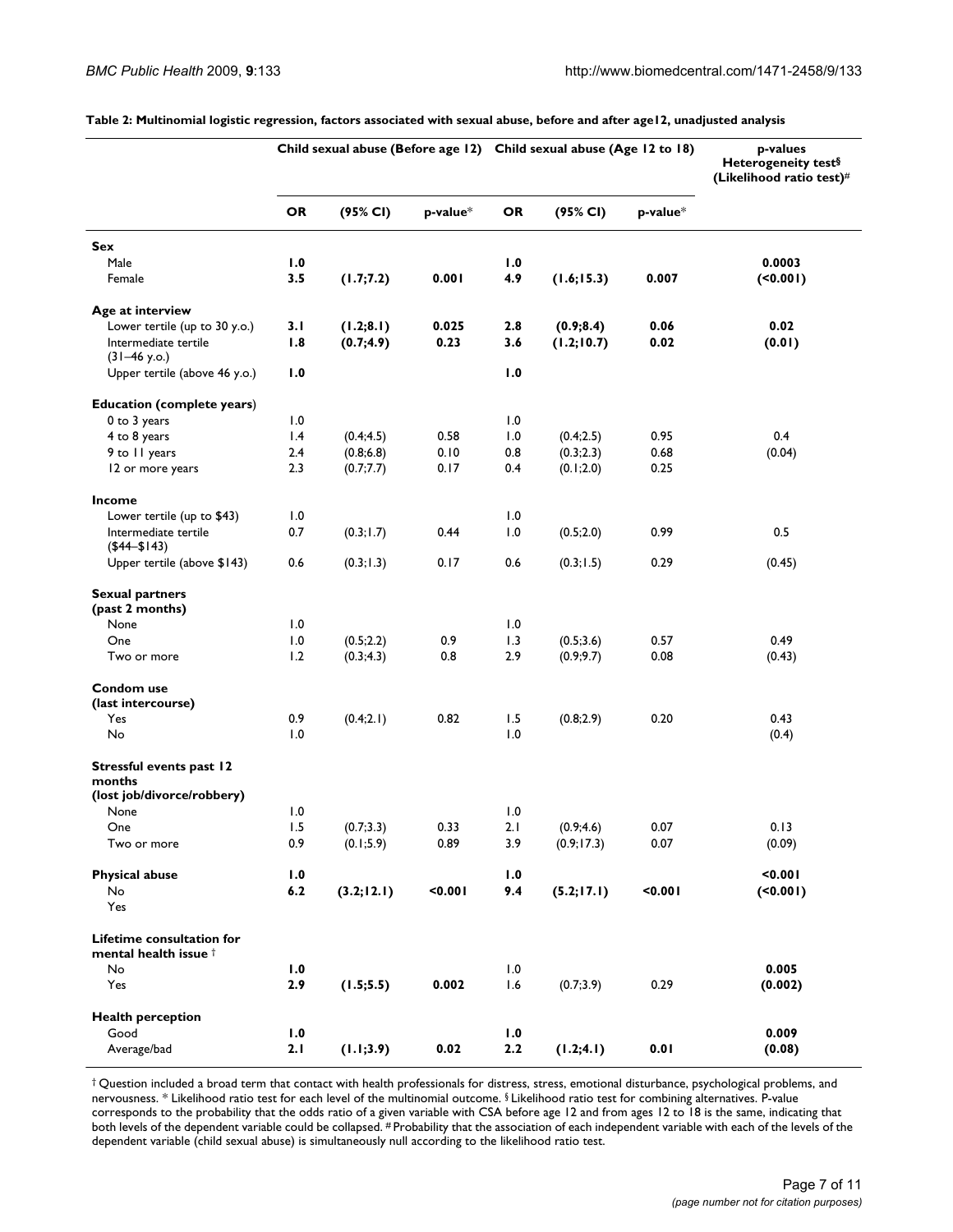|                                                               | Child sexual abuse (Before age 12) Child sexual abuse (Age 12 to 18) |             |                |          |             | p-values<br>Heterogeneity test§<br>(Likelihood ratio test)# |          |
|---------------------------------------------------------------|----------------------------------------------------------------------|-------------|----------------|----------|-------------|-------------------------------------------------------------|----------|
|                                                               | <b>OR</b>                                                            | (95% CI)    | $p$ -value $*$ | OR       | (95% CI)    | p-value*                                                    |          |
| Sex                                                           |                                                                      |             |                |          |             |                                                             |          |
| Male                                                          | 1.0                                                                  |             |                | 1.0      |             |                                                             | 0.0003   |
| Female                                                        | 3.5                                                                  | (1.7;7.2)   | 0.001          | 4.9      | (1.6; 15.3) | 0.007                                                       | (50.001) |
| Age at interview                                              |                                                                      |             |                |          |             |                                                             |          |
| Lower tertile (up to 30 y.o.)                                 | 3.1                                                                  | (1.2; 8.1)  | 0.025          | 2.8      | (0.9; 8.4)  | 0.06                                                        | 0.02     |
| Intermediate tertile<br>$(31-46 y.o.)$                        | 1.8                                                                  | (0.7; 4.9)  | 0.23           | 3.6      | (1.2; 10.7) | 0.02                                                        | (0.01)   |
| Upper tertile (above 46 y.o.)                                 | 1.0                                                                  |             |                | 1.0      |             |                                                             |          |
| <b>Education (complete years)</b>                             |                                                                      |             |                |          |             |                                                             |          |
| 0 to 3 years                                                  | 1.0                                                                  |             |                | 1.0      |             |                                                             |          |
| 4 to 8 years                                                  | 1.4                                                                  | (0.4; 4.5)  | 0.58           | 1.0      | (0.4;2.5)   | 0.95                                                        | 0.4      |
| 9 to 11 years                                                 | 2.4                                                                  | (0.8; 6.8)  | 0.10           | 0.8      | (0.3;2.3)   | 0.68                                                        | (0.04)   |
| 12 or more years                                              | 2.3                                                                  | (0.7;7.7)   | 0.17           | 0.4      | (0.1;2.0)   | 0.25                                                        |          |
| <b>Income</b>                                                 |                                                                      |             |                |          |             |                                                             |          |
| Lower tertile (up to \$43)                                    | 1.0                                                                  |             |                | 1.0      |             |                                                             |          |
| Intermediate tertile<br>$($44 - $143)$                        | 0.7                                                                  | (0.3; 1.7)  | 0.44           | 1.0      | (0.5;2.0)   | 0.99                                                        | 0.5      |
| Upper tertile (above \$143)                                   | 0.6                                                                  | (0.3; 1.3)  | 0.17           | 0.6      | (0.3; 1.5)  | 0.29                                                        | (0.45)   |
| <b>Sexual partners</b><br>(past 2 months)                     |                                                                      |             |                |          |             |                                                             |          |
| None                                                          | 1.0                                                                  |             |                | 1.0      |             |                                                             |          |
| One                                                           | 1.0                                                                  | (0.5; 2.2)  | 0.9            | 1.3      | (0.5; 3.6)  | 0.57                                                        | 0.49     |
| Two or more                                                   | 1.2                                                                  | (0.3; 4.3)  | 0.8            | 2.9      | (0.9; 9.7)  | 0.08                                                        | (0.43)   |
| Condom use<br>(last intercourse)                              |                                                                      |             |                |          |             |                                                             |          |
| Yes                                                           | 0.9                                                                  | (0.4;2.1)   | 0.82           | 1.5      | (0.8;2.9)   | 0.20                                                        | 0.43     |
| No                                                            | 1.0                                                                  |             |                | 1.0      |             |                                                             | (0.4)    |
| Stressful events past 12<br>months                            |                                                                      |             |                |          |             |                                                             |          |
| (lost job/divorce/robbery)                                    |                                                                      |             |                |          |             |                                                             |          |
| None                                                          | 1.0                                                                  |             |                | 1.0      |             |                                                             |          |
| One                                                           | 1.5                                                                  | (0.7; 3.3)  | 0.33           | 2. I     | (0.9; 4.6)  | 0.07                                                        | 0.13     |
| Two or more                                                   | 0.9                                                                  | (0.1; 5.9)  | 0.89           | 3.9      | (0.9; 17.3) | 0.07                                                        | (0.09)   |
| <b>Physical abuse</b>                                         | 1.0                                                                  |             |                | 1.0      |             |                                                             | 10.001   |
| No<br>Yes                                                     | 6.2                                                                  | (3.2; 12.1) | $0.001$        | 9.4      | (5.2; 17.1) | < 0.001                                                     | (50.001) |
| Lifetime consultation for<br>mental health issue <sup>†</sup> |                                                                      |             |                |          |             |                                                             |          |
| No                                                            | 1.0                                                                  |             |                | $\, 1.0$ |             |                                                             | 0.005    |
| Yes                                                           | 2.9                                                                  | (1.5; 5.5)  | 0.002          | 1.6      | (0.7; 3.9)  | 0.29                                                        | (0.002)  |
|                                                               |                                                                      |             |                |          |             |                                                             |          |
| <b>Health perception</b><br>Good                              | 1.0                                                                  |             |                | 1.0      |             |                                                             | 0.009    |
|                                                               |                                                                      |             |                |          |             | 0.01                                                        |          |
| Average/bad                                                   | 2.1                                                                  | (1.1; 3.9)  | 0.02           | $2.2\,$  | (1.2; 4.1)  |                                                             | (0.08)   |

**Table 2: Multinomial logistic regression, factors associated with sexual abuse, before and after age12, unadjusted analysis**

† Question included a broad term that contact with health professionals for distress, stress, emotional disturbance, psychological problems, and nervousness. \* Likelihood ratio test for each level of the multinomial outcome. § Likelihood ratio test for combining alternatives. P-value corresponds to the probability that the odds ratio of a given variable with CSA before age 12 and from ages 12 to 18 is the same, indicating that both levels of the dependent variable could be collapsed. # Probability that the association of each independent variable with each of the levels of the dependent variable (child sexual abuse) is simultaneously null according to the likelihood ratio test.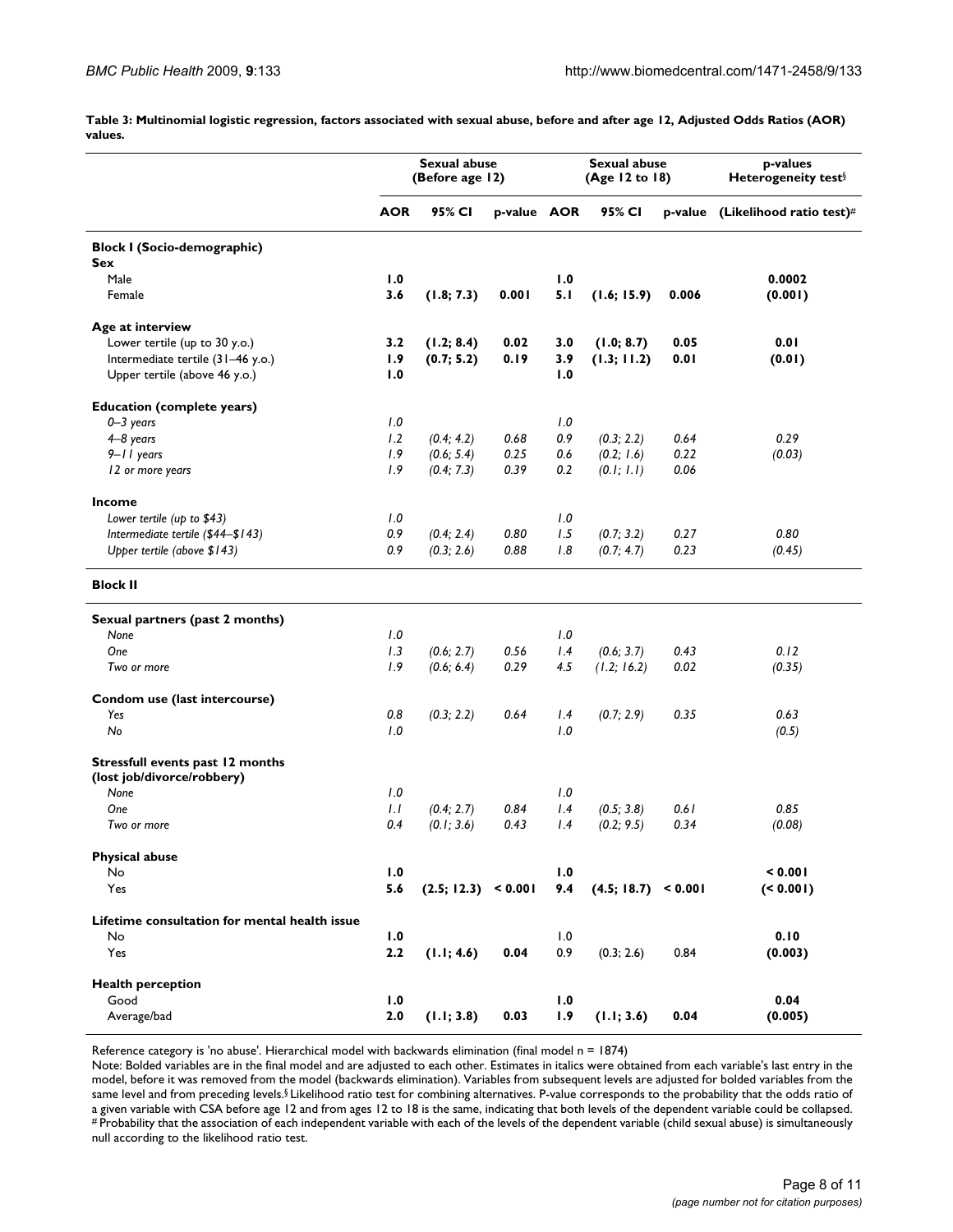**Table 3: Multinomial logistic regression, factors associated with sexual abuse, before and after age 12, Adjusted Odds Ratios (AOR) values.** 

|                                               | <b>Sexual abuse</b><br>(Before age 12) |                     |             |     | <b>Sexual abuse</b><br>(Age 12 to 18) |       | p-values<br>Heterogeneity test <sup>§</sup> |  |
|-----------------------------------------------|----------------------------------------|---------------------|-------------|-----|---------------------------------------|-------|---------------------------------------------|--|
|                                               | <b>AOR</b>                             | 95% CI              | p-value AOR |     | 95% CI                                |       | p-value (Likelihood ratio test)#            |  |
| <b>Block I (Socio-demographic)</b>            |                                        |                     |             |     |                                       |       |                                             |  |
| <b>Sex</b>                                    |                                        |                     |             |     |                                       |       |                                             |  |
| Male                                          | 1.0                                    |                     |             | 1.0 |                                       |       | 0.0002                                      |  |
| Female                                        | 3.6                                    | (1.8; 7.3)          | 0.001       | 5.1 | (1.6; 15.9)                           | 0.006 | (0.001)                                     |  |
| Age at interview                              |                                        |                     |             |     |                                       |       |                                             |  |
| Lower tertile (up to 30 y.o.)                 | 3.2                                    | (1.2; 8.4)          | 0.02        | 3.0 | (1.0; 8.7)                            | 0.05  | 0.01                                        |  |
| Intermediate tertile (31-46 y.o.)             | 1.9                                    | (0.7; 5.2)          | 0.19        | 3.9 | (1.3; 11.2)                           | 0.01  | (0.01)                                      |  |
| Upper tertile (above 46 y.o.)                 | 1.0                                    |                     |             | 1.0 |                                       |       |                                             |  |
| <b>Education (complete years)</b>             |                                        |                     |             |     |                                       |       |                                             |  |
| $0 - 3$ years                                 | 1.0                                    |                     |             | 1.0 |                                       |       |                                             |  |
| $4-8$ years                                   | 1.2                                    | (0.4; 4.2)          | 0.68        | 0.9 | (0.3; 2.2)                            | 0.64  | 0.29                                        |  |
| $9 - 11$ years                                | 1.9                                    | (0.6; 5.4)          | 0.25        | 0.6 | (0.2; 1.6)                            | 0.22  | (0.03)                                      |  |
| 12 or more years                              | 1.9                                    | (0.4; 7.3)          | 0.39        | 0.2 | (0.1; 1.1)                            | 0.06  |                                             |  |
| Income                                        |                                        |                     |             |     |                                       |       |                                             |  |
| Lower tertile (up to \$43)                    | 1.0                                    |                     |             | 1.0 |                                       |       |                                             |  |
| Intermediate tertile (\$44-\$143)             | 0.9                                    | (0.4; 2.4)          | 0.80        | 1.5 | (0.7; 3.2)                            | 0.27  | 0.80                                        |  |
| Upper tertile (above \$143)                   | 0.9                                    | (0.3; 2.6)          | 0.88        | 1.8 | (0.7; 4.7)                            | 0.23  | (0.45)                                      |  |
| <b>Block II</b>                               |                                        |                     |             |     |                                       |       |                                             |  |
| Sexual partners (past 2 months)               |                                        |                     |             |     |                                       |       |                                             |  |
| None                                          | 1.0                                    |                     |             | 1.0 |                                       |       |                                             |  |
| One                                           | 1.3                                    | (0.6; 2.7)          | 0.56        | 1.4 | (0.6; 3.7)                            | 0.43  | 0.12                                        |  |
| Two or more                                   | 1.9                                    | (0.6; 6.4)          | 0.29        | 4.5 | (1.2; 16.2)                           | 0.02  | (0.35)                                      |  |
| Condom use (last intercourse)                 |                                        |                     |             |     |                                       |       |                                             |  |
| Yes                                           | 0.8                                    | (0.3; 2.2)          | 0.64        | 1.4 | (0.7; 2.9)                            | 0.35  | 0.63                                        |  |
| No                                            | 1.0                                    |                     |             | 1.0 |                                       |       | (0.5)                                       |  |
| Stressfull events past 12 months              |                                        |                     |             |     |                                       |       |                                             |  |
| (lost job/divorce/robbery)                    |                                        |                     |             |     |                                       |       |                                             |  |
| None                                          | 1.0                                    |                     |             | 1.0 |                                       |       |                                             |  |
| One                                           | 1.1                                    | (0.4; 2.7)          | 0.84        | 1.4 | (0.5; 3.8)                            | 0.61  | 0.85                                        |  |
| Two or more                                   | 0.4                                    | (0.1; 3.6)          | 0.43        | 1.4 | (0.2; 9.5)                            | 0.34  | (0.08)                                      |  |
| <b>Physical abuse</b>                         |                                        |                     |             |     |                                       |       |                                             |  |
| No                                            | 1.0                                    |                     |             | 1.0 |                                       |       | < 0.001                                     |  |
| Yes                                           | 5.6                                    | (2.5; 12.3) < 0.001 |             | 9.4 | (4.5; 18.7) < 0.001                   |       | ( < 0.001)                                  |  |
| Lifetime consultation for mental health issue |                                        |                     |             |     |                                       |       |                                             |  |
| No                                            | 1.0                                    |                     |             | 1.0 |                                       |       | 0.10                                        |  |
| Yes                                           | 2.2                                    | (1.1; 4.6)          | 0.04        | 0.9 | (0.3; 2.6)                            | 0.84  | (0.003)                                     |  |
| <b>Health perception</b>                      |                                        |                     |             |     |                                       |       |                                             |  |
| Good                                          | 1.0                                    |                     |             | 1.0 |                                       |       | 0.04                                        |  |
| Average/bad                                   | 2.0                                    | (1.1; 3.8)          | 0.03        | 1.9 | (1.1; 3.6)                            | 0.04  | (0.005)                                     |  |

Reference category is 'no abuse'. Hierarchical model with backwards elimination (final model n = 1874)

Note: Bolded variables are in the final model and are adjusted to each other. Estimates in italics were obtained from each variable's last entry in the model, before it was removed from the model (backwards elimination). Variables from subsequent levels are adjusted for bolded variables from the same level and from preceding levels.§ Likelihood ratio test for combining alternatives. P-value corresponds to the probability that the odds ratio of<br>a given variable with CSA before age 12 and from ages 12 to 18 is the s #Probability that the association of each independent variable with each of the levels of the dependent variable (child sexual abuse) is simultaneously null according to the likelihood ratio test.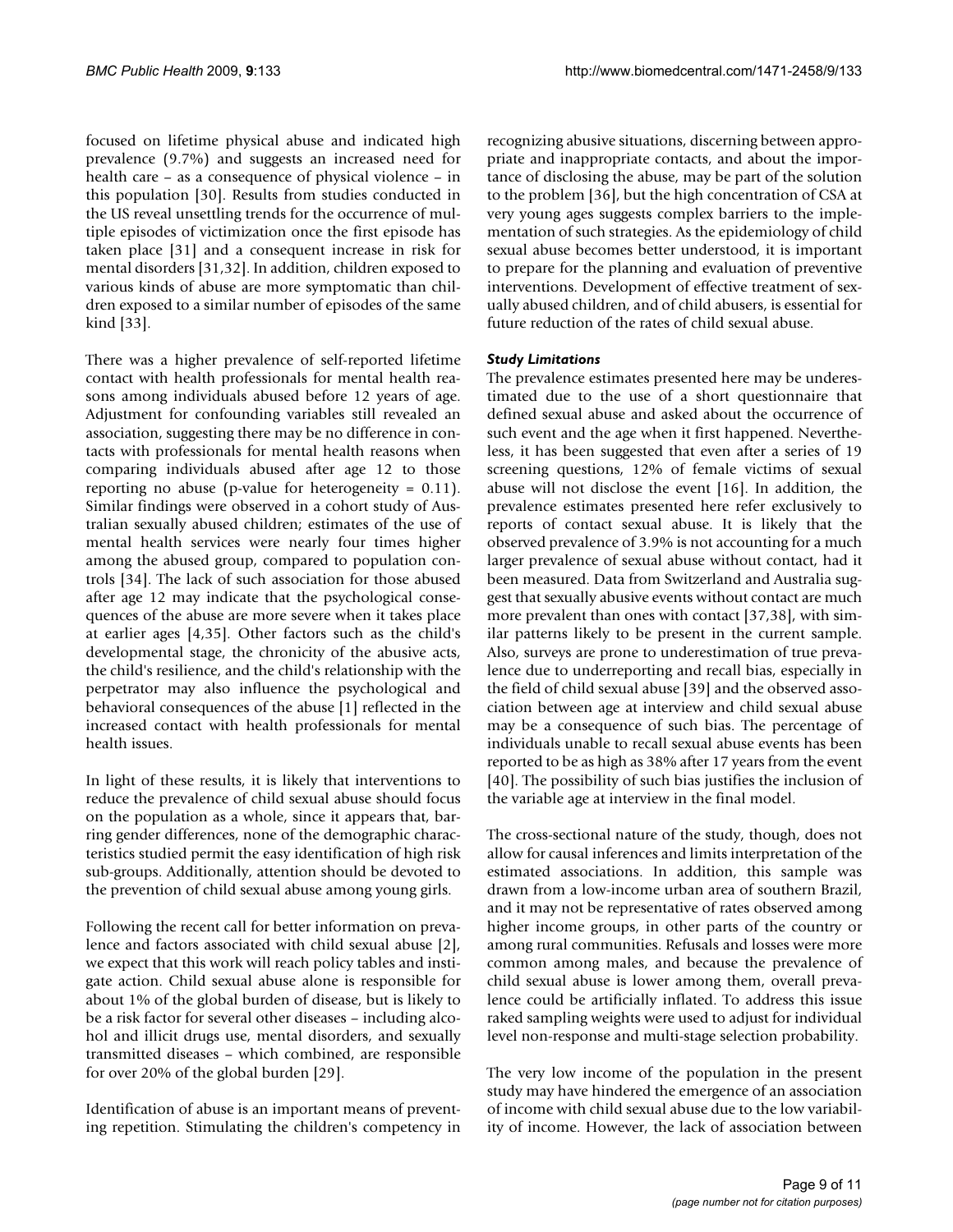focused on lifetime physical abuse and indicated high prevalence (9.7%) and suggests an increased need for health care – as a consequence of physical violence – in this population [30]. Results from studies conducted in the US reveal unsettling trends for the occurrence of multiple episodes of victimization once the first episode has taken place [31] and a consequent increase in risk for mental disorders [31,32]. In addition, children exposed to various kinds of abuse are more symptomatic than children exposed to a similar number of episodes of the same kind [33].

There was a higher prevalence of self-reported lifetime contact with health professionals for mental health reasons among individuals abused before 12 years of age. Adjustment for confounding variables still revealed an association, suggesting there may be no difference in contacts with professionals for mental health reasons when comparing individuals abused after age 12 to those reporting no abuse (p-value for heterogeneity  $= 0.11$ ). Similar findings were observed in a cohort study of Australian sexually abused children; estimates of the use of mental health services were nearly four times higher among the abused group, compared to population controls [34]. The lack of such association for those abused after age 12 may indicate that the psychological consequences of the abuse are more severe when it takes place at earlier ages [4,35]. Other factors such as the child's developmental stage, the chronicity of the abusive acts, the child's resilience, and the child's relationship with the perpetrator may also influence the psychological and behavioral consequences of the abuse [1] reflected in the increased contact with health professionals for mental health issues.

In light of these results, it is likely that interventions to reduce the prevalence of child sexual abuse should focus on the population as a whole, since it appears that, barring gender differences, none of the demographic characteristics studied permit the easy identification of high risk sub-groups. Additionally, attention should be devoted to the prevention of child sexual abuse among young girls.

Following the recent call for better information on prevalence and factors associated with child sexual abuse [2], we expect that this work will reach policy tables and instigate action. Child sexual abuse alone is responsible for about 1% of the global burden of disease, but is likely to be a risk factor for several other diseases – including alcohol and illicit drugs use, mental disorders, and sexually transmitted diseases – which combined, are responsible for over 20% of the global burden [29].

Identification of abuse is an important means of preventing repetition. Stimulating the children's competency in

recognizing abusive situations, discerning between appropriate and inappropriate contacts, and about the importance of disclosing the abuse, may be part of the solution to the problem [36], but the high concentration of CSA at very young ages suggests complex barriers to the implementation of such strategies. As the epidemiology of child sexual abuse becomes better understood, it is important to prepare for the planning and evaluation of preventive interventions. Development of effective treatment of sexually abused children, and of child abusers, is essential for future reduction of the rates of child sexual abuse.

#### *Study Limitations*

The prevalence estimates presented here may be underestimated due to the use of a short questionnaire that defined sexual abuse and asked about the occurrence of such event and the age when it first happened. Nevertheless, it has been suggested that even after a series of 19 screening questions, 12% of female victims of sexual abuse will not disclose the event [16]. In addition, the prevalence estimates presented here refer exclusively to reports of contact sexual abuse. It is likely that the observed prevalence of 3.9% is not accounting for a much larger prevalence of sexual abuse without contact, had it been measured. Data from Switzerland and Australia suggest that sexually abusive events without contact are much more prevalent than ones with contact [37,38], with similar patterns likely to be present in the current sample. Also, surveys are prone to underestimation of true prevalence due to underreporting and recall bias, especially in the field of child sexual abuse [39] and the observed association between age at interview and child sexual abuse may be a consequence of such bias. The percentage of individuals unable to recall sexual abuse events has been reported to be as high as 38% after 17 years from the event [40]. The possibility of such bias justifies the inclusion of the variable age at interview in the final model.

The cross-sectional nature of the study, though, does not allow for causal inferences and limits interpretation of the estimated associations. In addition, this sample was drawn from a low-income urban area of southern Brazil, and it may not be representative of rates observed among higher income groups, in other parts of the country or among rural communities. Refusals and losses were more common among males, and because the prevalence of child sexual abuse is lower among them, overall prevalence could be artificially inflated. To address this issue raked sampling weights were used to adjust for individual level non-response and multi-stage selection probability.

The very low income of the population in the present study may have hindered the emergence of an association of income with child sexual abuse due to the low variability of income. However, the lack of association between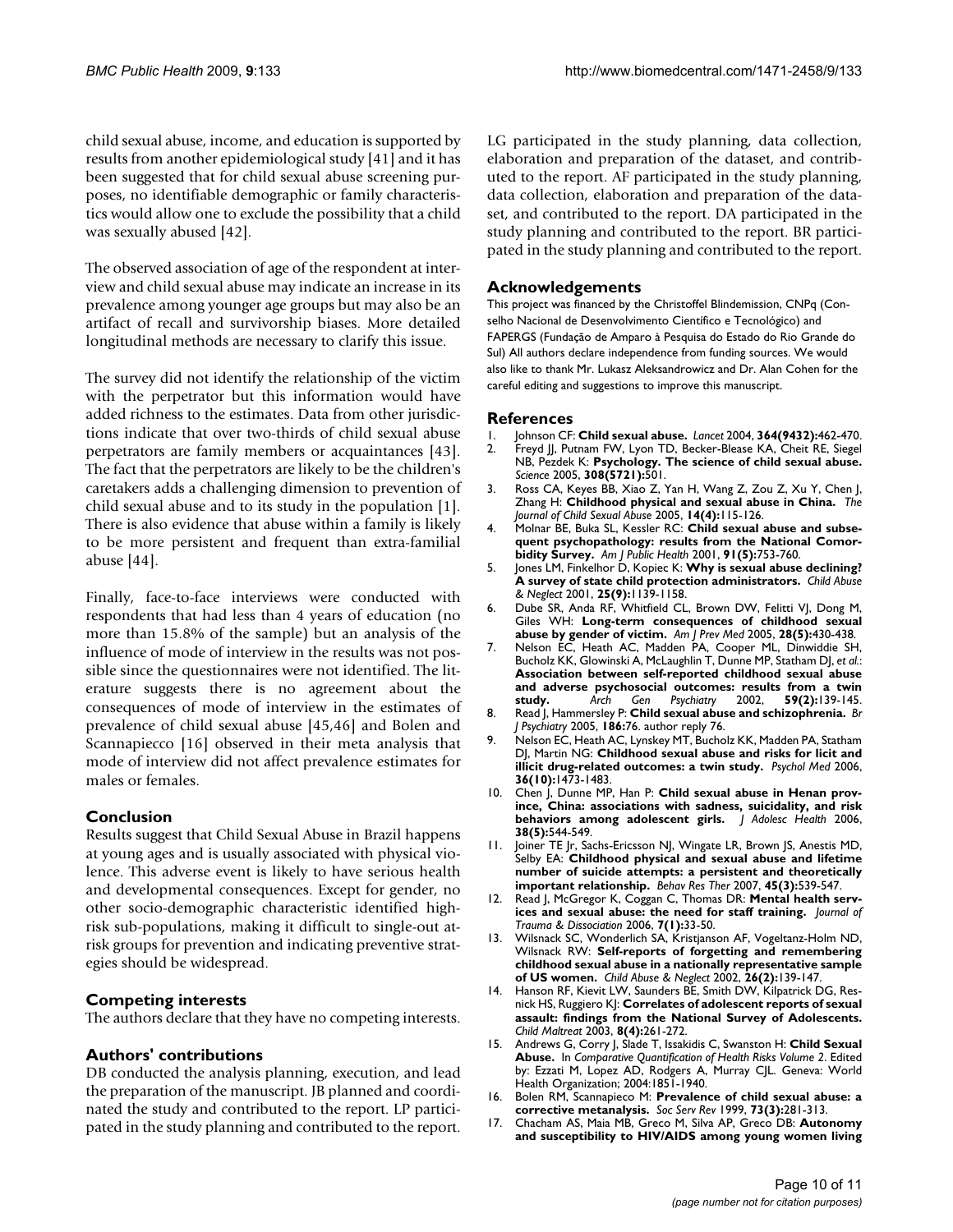child sexual abuse, income, and education is supported by results from another epidemiological study [41] and it has been suggested that for child sexual abuse screening purposes, no identifiable demographic or family characteristics would allow one to exclude the possibility that a child was sexually abused [42].

The observed association of age of the respondent at interview and child sexual abuse may indicate an increase in its prevalence among younger age groups but may also be an artifact of recall and survivorship biases. More detailed longitudinal methods are necessary to clarify this issue.

The survey did not identify the relationship of the victim with the perpetrator but this information would have added richness to the estimates. Data from other jurisdictions indicate that over two-thirds of child sexual abuse perpetrators are family members or acquaintances [43]. The fact that the perpetrators are likely to be the children's caretakers adds a challenging dimension to prevention of child sexual abuse and to its study in the population [1]. There is also evidence that abuse within a family is likely to be more persistent and frequent than extra-familial abuse [44].

Finally, face-to-face interviews were conducted with respondents that had less than 4 years of education (no more than 15.8% of the sample) but an analysis of the influence of mode of interview in the results was not possible since the questionnaires were not identified. The literature suggests there is no agreement about the consequences of mode of interview in the estimates of prevalence of child sexual abuse [45,46] and Bolen and Scannapiecco [16] observed in their meta analysis that mode of interview did not affect prevalence estimates for males or females.

#### **Conclusion**

Results suggest that Child Sexual Abuse in Brazil happens at young ages and is usually associated with physical violence. This adverse event is likely to have serious health and developmental consequences. Except for gender, no other socio-demographic characteristic identified highrisk sub-populations, making it difficult to single-out atrisk groups for prevention and indicating preventive strategies should be widespread.

#### **Competing interests**

The authors declare that they have no competing interests.

#### **Authors' contributions**

DB conducted the analysis planning, execution, and lead the preparation of the manuscript. JB planned and coordinated the study and contributed to the report. LP participated in the study planning and contributed to the report.

LG participated in the study planning, data collection, elaboration and preparation of the dataset, and contributed to the report. AF participated in the study planning, data collection, elaboration and preparation of the dataset, and contributed to the report. DA participated in the study planning and contributed to the report. BR participated in the study planning and contributed to the report.

#### **Acknowledgements**

This project was financed by the Christoffel Blindemission, CNPq (Conselho Nacional de Desenvolvimento Científico e Tecnológico) and FAPERGS (Fundação de Amparo à Pesquisa do Estado do Rio Grande do Sul) All authors declare independence from funding sources. We would also like to thank Mr. Lukasz Aleksandrowicz and Dr. Alan Cohen for the careful editing and suggestions to improve this manuscript.

#### **References**

- 
- 1. Johnson CF: **[Child sexual abuse.](http://www.ncbi.nlm.nih.gov/entrez/query.fcgi?cmd=Retrieve&db=PubMed&dopt=Abstract&list_uids=15288746)** *Lancet* 2004, **364(9432):**462-470. Freyd JJ, Putnam FW, Lyon TD, Becker-Blease KA, Cheit RE, Siegel NB, Pezdek K: **[Psychology. The science of child sexual abuse.](http://www.ncbi.nlm.nih.gov/entrez/query.fcgi?cmd=Retrieve&db=PubMed&dopt=Abstract&list_uids=15845837)** *Science* 2005, **308(5721):**501.
- 3. Ross CA, Keyes BB, Xiao Z, Yan H, Wang Z, Zou Z, Xu Y, Chen J, Zhang H: **Childhood physical and sexual abuse in China.** *The Journal of Child Sexual Abuse* 2005, **14(4):**115-126.
- Molnar BE, Buka SL, Kessler RC: [Child sexual abuse and subse](http://www.ncbi.nlm.nih.gov/entrez/query.fcgi?cmd=Retrieve&db=PubMed&dopt=Abstract&list_uids=11344883)**[quent psychopathology: results from the National Comor](http://www.ncbi.nlm.nih.gov/entrez/query.fcgi?cmd=Retrieve&db=PubMed&dopt=Abstract&list_uids=11344883)[bidity Survey.](http://www.ncbi.nlm.nih.gov/entrez/query.fcgi?cmd=Retrieve&db=PubMed&dopt=Abstract&list_uids=11344883)** *Am J Public Health* 2001, **91(5):**753-760.
- 5. Jones LM, Finkelhor D, Kopiec K: **[Why is sexual abuse declining?](http://www.ncbi.nlm.nih.gov/entrez/query.fcgi?cmd=Retrieve&db=PubMed&dopt=Abstract&list_uids=11700689) [A survey of state child protection administrators.](http://www.ncbi.nlm.nih.gov/entrez/query.fcgi?cmd=Retrieve&db=PubMed&dopt=Abstract&list_uids=11700689)** *Child Abuse & Neglect* 2001, **25(9):**1139-1158.
- 6. Dube SR, Anda RF, Whitfield CL, Brown DW, Felitti VJ, Dong M, Giles WH: **[Long-term consequences of childhood sexual](http://www.ncbi.nlm.nih.gov/entrez/query.fcgi?cmd=Retrieve&db=PubMed&dopt=Abstract&list_uids=15894146) [abuse by gender of victim.](http://www.ncbi.nlm.nih.gov/entrez/query.fcgi?cmd=Retrieve&db=PubMed&dopt=Abstract&list_uids=15894146)** *Am J Prev Med* 2005, **28(5):**430-438.
- 7. Nelson EC, Heath AC, Madden PA, Cooper ML, Dinwiddie SH, Bucholz KK, Glowinski A, McLaughlin T, Dunne MP, Statham DJ, *et al.*: **[Association between self-reported childhood sexual abuse](http://www.ncbi.nlm.nih.gov/entrez/query.fcgi?cmd=Retrieve&db=PubMed&dopt=Abstract&list_uids=11825135) and adverse psychosocial outcomes: results from a twin [study.](http://www.ncbi.nlm.nih.gov/entrez/query.fcgi?cmd=Retrieve&db=PubMed&dopt=Abstract&list_uids=11825135)** *Arch Gen Psychiatry* 2002, **59(2):**139-145.
- 8. Read J, Hammersley P: **[Child sexual abuse and schizophrenia.](http://www.ncbi.nlm.nih.gov/entrez/query.fcgi?cmd=Retrieve&db=PubMed&dopt=Abstract&list_uids=15690589)** *Br J Psychiatry* 2005, **186:**76. author reply 76.
- 9. Nelson EC, Heath AC, Lynskey MT, Bucholz KK, Madden PA, Statham DJ, Martin NG: **[Childhood sexual abuse and risks for licit and](http://www.ncbi.nlm.nih.gov/entrez/query.fcgi?cmd=Retrieve&db=PubMed&dopt=Abstract&list_uids=16854248) [illicit drug-related outcomes: a twin study.](http://www.ncbi.nlm.nih.gov/entrez/query.fcgi?cmd=Retrieve&db=PubMed&dopt=Abstract&list_uids=16854248)** *Psychol Med* 2006, **36(10):**1473-1483.
- 10. Chen J, Dunne MP, Han P: [Child sexual abuse in Henan prov](http://www.ncbi.nlm.nih.gov/entrez/query.fcgi?cmd=Retrieve&db=PubMed&dopt=Abstract&list_uids=16635765)**[ince, China: associations with sadness, suicidality, and risk](http://www.ncbi.nlm.nih.gov/entrez/query.fcgi?cmd=Retrieve&db=PubMed&dopt=Abstract&list_uids=16635765) [behaviors among adolescent girls.](http://www.ncbi.nlm.nih.gov/entrez/query.fcgi?cmd=Retrieve&db=PubMed&dopt=Abstract&list_uids=16635765)** *J Adolesc Health* 2006, **38(5):**544-549.
- 11. Joiner TE Jr, Sachs-Ericsson NJ, Wingate LR, Brown JS, Anestis MD, Selby EA: **[Childhood physical and sexual abuse and lifetime](http://www.ncbi.nlm.nih.gov/entrez/query.fcgi?cmd=Retrieve&db=PubMed&dopt=Abstract&list_uids=16765909) [number of suicide attempts: a persistent and theoretically](http://www.ncbi.nlm.nih.gov/entrez/query.fcgi?cmd=Retrieve&db=PubMed&dopt=Abstract&list_uids=16765909) [important relationship.](http://www.ncbi.nlm.nih.gov/entrez/query.fcgi?cmd=Retrieve&db=PubMed&dopt=Abstract&list_uids=16765909)** *Behav Res Ther* 2007, **45(3):**539-547.
- Read J, McGregor K, Coggan C, Thomas DR: Mental health serv**ices and sexual abuse: the need for staff training.** *Journal of Trauma & Dissociation* 2006, **7(1):**33-50.
- 13. Wilsnack SC, Wonderlich SA, Kristjanson AF, Vogeltanz-Holm ND, Wilsnack RW: **[Self-reports of forgetting and remembering](http://www.ncbi.nlm.nih.gov/entrez/query.fcgi?cmd=Retrieve&db=PubMed&dopt=Abstract&list_uids=11933986) [childhood sexual abuse in a nationally representative sample](http://www.ncbi.nlm.nih.gov/entrez/query.fcgi?cmd=Retrieve&db=PubMed&dopt=Abstract&list_uids=11933986) [of US women.](http://www.ncbi.nlm.nih.gov/entrez/query.fcgi?cmd=Retrieve&db=PubMed&dopt=Abstract&list_uids=11933986)** *Child Abuse & Neglect* 2002, **26(2):**139-147.
- 14. Hanson RF, Kievit LW, Saunders BE, Smith DW, Kilpatrick DG, Resnick HS, Ruggiero KJ: **[Correlates of adolescent reports of sexual](http://www.ncbi.nlm.nih.gov/entrez/query.fcgi?cmd=Retrieve&db=PubMed&dopt=Abstract&list_uids=14604174) [assault: findings from the National Survey of Adolescents.](http://www.ncbi.nlm.nih.gov/entrez/query.fcgi?cmd=Retrieve&db=PubMed&dopt=Abstract&list_uids=14604174)** *Child Maltreat* 2003, **8(4):**261-272.
- 15. Andrews G, Corry J, Slade T, Issakidis C, Swanston H: **Child Sexual Abuse.** In *Comparative Quantification of Health Risks Volume 2*. Edited by: Ezzati M, Lopez AD, Rodgers A, Murray CJL. Geneva: World Health Organization; 2004:1851-1940.
- 16. Bolen RM, Scannapieco M: **Prevalence of child sexual abuse: a corrective metanalysis.** *Soc Serv Rev* 1999, **73(3):**281-313.
- 17. Chacham AS, Maia MB, Greco M, Silva AP, Greco DB: **[Autonomy](http://www.ncbi.nlm.nih.gov/entrez/query.fcgi?cmd=Retrieve&db=PubMed&dopt=Abstract&list_uids=17364383) [and susceptibility to HIV/AIDS among young women living](http://www.ncbi.nlm.nih.gov/entrez/query.fcgi?cmd=Retrieve&db=PubMed&dopt=Abstract&list_uids=17364383)**